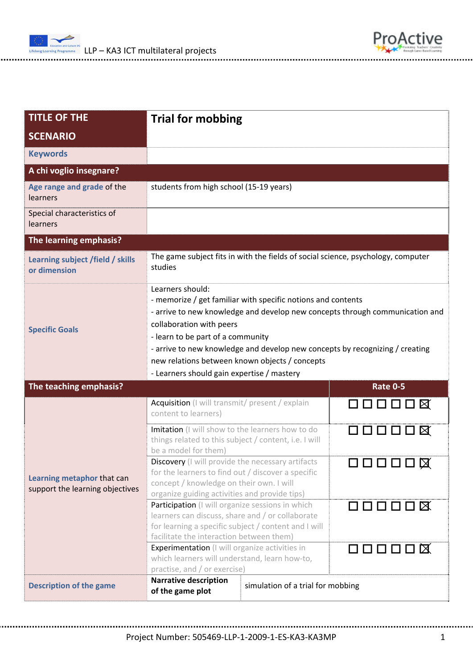

| <b>TITLE OF THE</b>                                           | <b>Trial for mobbing</b>                                                                                                                                                                                                                                                                                                                                                                                          |                 |  |
|---------------------------------------------------------------|-------------------------------------------------------------------------------------------------------------------------------------------------------------------------------------------------------------------------------------------------------------------------------------------------------------------------------------------------------------------------------------------------------------------|-----------------|--|
| <b>SCENARIO</b>                                               |                                                                                                                                                                                                                                                                                                                                                                                                                   |                 |  |
| <b>Keywords</b>                                               |                                                                                                                                                                                                                                                                                                                                                                                                                   |                 |  |
| A chi voglio insegnare?                                       |                                                                                                                                                                                                                                                                                                                                                                                                                   |                 |  |
| Age range and grade of the<br>learners                        | students from high school (15-19 years)                                                                                                                                                                                                                                                                                                                                                                           |                 |  |
| Special characteristics of<br>learners                        |                                                                                                                                                                                                                                                                                                                                                                                                                   |                 |  |
| The learning emphasis?                                        |                                                                                                                                                                                                                                                                                                                                                                                                                   |                 |  |
| Learning subject /field / skills<br>or dimension              | The game subject fits in with the fields of social science, psychology, computer<br>studies                                                                                                                                                                                                                                                                                                                       |                 |  |
| <b>Specific Goals</b>                                         | Learners should:<br>- memorize / get familiar with specific notions and contents<br>- arrive to new knowledge and develop new concepts through communication and<br>collaboration with peers<br>- learn to be part of a community<br>- arrive to new knowledge and develop new concepts by recognizing / creating<br>new relations between known objects / concepts<br>- Learners should gain expertise / mastery |                 |  |
| The teaching emphasis?                                        |                                                                                                                                                                                                                                                                                                                                                                                                                   | <b>Rate 0-5</b> |  |
| Learning metaphor that can<br>support the learning objectives | Acquisition (I will transmit/ present / explain<br>content to learners)                                                                                                                                                                                                                                                                                                                                           | <b>QOOOO8</b>   |  |
|                                                               | Imitation (I will show to the learners how to do<br>things related to this subject / content, i.e. I will<br>be a model for them)                                                                                                                                                                                                                                                                                 | ロロロロロ区          |  |
|                                                               | <b>Discovery</b> (I will provide the necessary artifacts<br>for the learners to find out / discover a specific<br>concept / knowledge on their own. I will<br>organize guiding activities and provide tips)                                                                                                                                                                                                       | ◻◻◻◻◻ធ          |  |
|                                                               | Participation (I will organize sessions in which<br>learners can discuss, share and / or collaborate<br>for learning a specific subject / content and I will<br>facilitate the interaction between them)                                                                                                                                                                                                          | 000000          |  |
|                                                               | <b>Experimentation</b> (I will organize activities in<br>which learners will understand, learn how-to,<br>practise, and / or exercise)                                                                                                                                                                                                                                                                            | $\Box$          |  |
| <b>Description of the game</b>                                | <b>Narrative description</b><br>simulation of a trial for mobbing<br>of the game plot                                                                                                                                                                                                                                                                                                                             |                 |  |

ProActive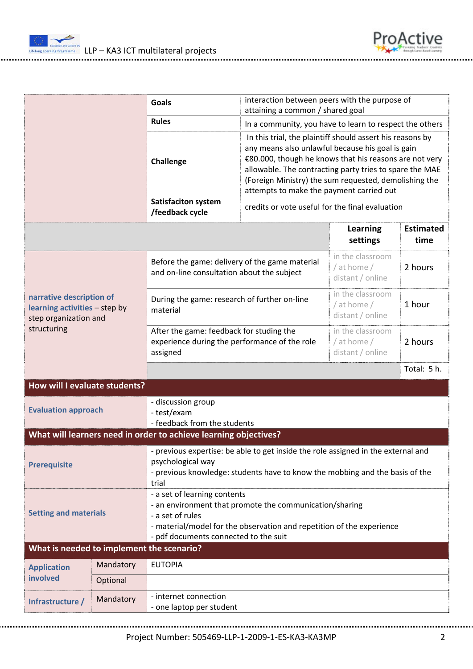

|                                                                                                   |                                                                                                                                                                                                                                                               | <b>Goals</b>                                                                                                                                                                                    | interaction between peers with the purpose of<br>attaining a common / shared goal                                                                                                                                                                                                                                                       |                                                     |                          |  |
|---------------------------------------------------------------------------------------------------|---------------------------------------------------------------------------------------------------------------------------------------------------------------------------------------------------------------------------------------------------------------|-------------------------------------------------------------------------------------------------------------------------------------------------------------------------------------------------|-----------------------------------------------------------------------------------------------------------------------------------------------------------------------------------------------------------------------------------------------------------------------------------------------------------------------------------------|-----------------------------------------------------|--------------------------|--|
|                                                                                                   |                                                                                                                                                                                                                                                               | <b>Rules</b>                                                                                                                                                                                    | In a community, you have to learn to respect the others                                                                                                                                                                                                                                                                                 |                                                     |                          |  |
|                                                                                                   |                                                                                                                                                                                                                                                               | Challenge                                                                                                                                                                                       | In this trial, the plaintiff should assert his reasons by<br>any means also unlawful because his goal is gain<br>€80.000, though he knows that his reasons are not very<br>allowable. The contracting party tries to spare the MAE<br>(Foreign Ministry) the sum requested, demolishing the<br>attempts to make the payment carried out |                                                     |                          |  |
|                                                                                                   |                                                                                                                                                                                                                                                               | <b>Satisfaciton system</b><br>/feedback cycle                                                                                                                                                   | credits or vote useful for the final evaluation                                                                                                                                                                                                                                                                                         |                                                     |                          |  |
|                                                                                                   |                                                                                                                                                                                                                                                               |                                                                                                                                                                                                 |                                                                                                                                                                                                                                                                                                                                         | <b>Learning</b><br>settings                         | <b>Estimated</b><br>time |  |
| narrative description of<br>learning activities - step by<br>step organization and<br>structuring |                                                                                                                                                                                                                                                               | Before the game: delivery of the game material<br>and on-line consultation about the subject                                                                                                    |                                                                                                                                                                                                                                                                                                                                         | in the classroom<br>/ at home /<br>distant / online | 2 hours                  |  |
|                                                                                                   |                                                                                                                                                                                                                                                               | During the game: research of further on-line<br>material                                                                                                                                        |                                                                                                                                                                                                                                                                                                                                         | in the classroom<br>/ at home /<br>distant / online | 1 hour                   |  |
|                                                                                                   |                                                                                                                                                                                                                                                               | After the game: feedback for studing the<br>experience during the performance of the role<br>assigned                                                                                           |                                                                                                                                                                                                                                                                                                                                         | in the classroom<br>/ at home /<br>distant / online | 2 hours                  |  |
|                                                                                                   |                                                                                                                                                                                                                                                               |                                                                                                                                                                                                 |                                                                                                                                                                                                                                                                                                                                         |                                                     | Total: 5 h.              |  |
| How will I evaluate students?                                                                     |                                                                                                                                                                                                                                                               |                                                                                                                                                                                                 |                                                                                                                                                                                                                                                                                                                                         |                                                     |                          |  |
| <b>Evaluation approach</b>                                                                        |                                                                                                                                                                                                                                                               | - discussion group<br>- test/exam<br>- feedback from the students                                                                                                                               |                                                                                                                                                                                                                                                                                                                                         |                                                     |                          |  |
| What will learners need in order to achieve learning objectives?                                  |                                                                                                                                                                                                                                                               |                                                                                                                                                                                                 |                                                                                                                                                                                                                                                                                                                                         |                                                     |                          |  |
| <b>Prerequisite</b>                                                                               |                                                                                                                                                                                                                                                               | - previous expertise: be able to get inside the role assigned in the external and<br>psychological way<br>- previous knowledge: students have to know the mobbing and the basis of the<br>trial |                                                                                                                                                                                                                                                                                                                                         |                                                     |                          |  |
|                                                                                                   | - a set of learning contents<br>- an environment that promote the communication/sharing<br><b>Setting and materials</b><br>- a set of rules<br>- material/model for the observation and repetition of the experience<br>- pdf documents connected to the suit |                                                                                                                                                                                                 |                                                                                                                                                                                                                                                                                                                                         |                                                     |                          |  |
| What is needed to implement the scenario?                                                         |                                                                                                                                                                                                                                                               |                                                                                                                                                                                                 |                                                                                                                                                                                                                                                                                                                                         |                                                     |                          |  |
| <b>Application</b><br>involved                                                                    | Mandatory                                                                                                                                                                                                                                                     | <b>EUTOPIA</b>                                                                                                                                                                                  |                                                                                                                                                                                                                                                                                                                                         |                                                     |                          |  |
|                                                                                                   | Optional                                                                                                                                                                                                                                                      |                                                                                                                                                                                                 |                                                                                                                                                                                                                                                                                                                                         |                                                     |                          |  |
| Infrastructure /                                                                                  | Mandatory                                                                                                                                                                                                                                                     | - internet connection<br>- one laptop per student                                                                                                                                               |                                                                                                                                                                                                                                                                                                                                         |                                                     |                          |  |

ProActive